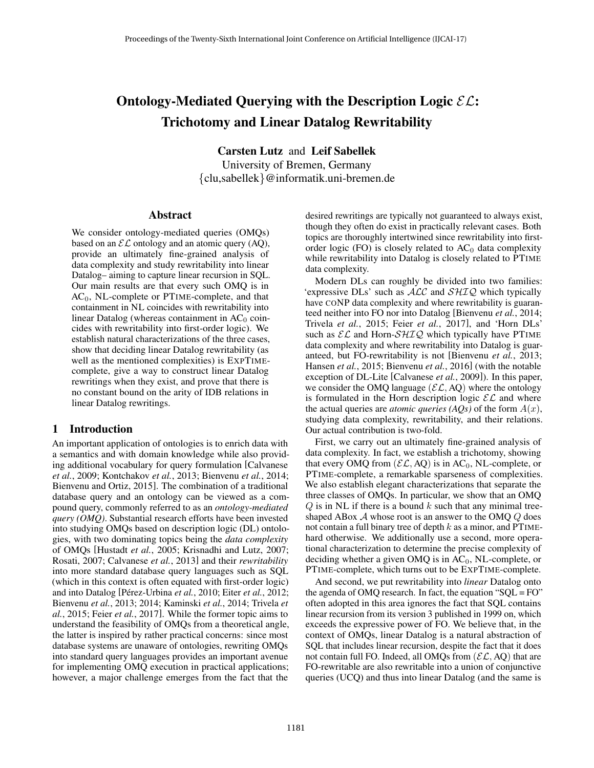# Ontology-Mediated Querying with the Description Logic  $\mathcal{EL}$ : Trichotomy and Linear Datalog Rewritability

Carsten Lutz and Leif Sabellek

University of Bremen, Germany {clu,sabellek}@informatik.uni-bremen.de

#### Abstract

We consider ontology-mediated queries (OMQs) based on an  $\mathcal{EL}$  ontology and an atomic query (AQ), provide an ultimately fine-grained analysis of data complexity and study rewritability into linear Datalog– aiming to capture linear recursion in SQL. Our main results are that every such OMQ is in  $AC<sub>0</sub>$ , NL-complete or PTIME-complete, and that containment in NL coincides with rewritability into linear Datalog (whereas containment in  $AC<sub>0</sub>$  coincides with rewritability into first-order logic). We establish natural characterizations of the three cases, show that deciding linear Datalog rewritability (as well as the mentioned complexities) is EXPTIMEcomplete, give a way to construct linear Datalog rewritings when they exist, and prove that there is no constant bound on the arity of IDB relations in linear Datalog rewritings.

## 1 Introduction

An important application of ontologies is to enrich data with a semantics and with domain knowledge while also providing additional vocabulary for query formulation [Calvanese *et al.*, 2009; Kontchakov *et al.*, 2013; Bienvenu *et al.*, 2014; Bienvenu and Ortiz, 2015]. The combination of a traditional database query and an ontology can be viewed as a compound query, commonly referred to as an *ontology-mediated query (OMQ)*. Substantial research efforts have been invested into studying OMQs based on description logic (DL) ontologies, with two dominating topics being the *data complexity* of OMQs [Hustadt *et al.*, 2005; Krisnadhi and Lutz, 2007; Rosati, 2007; Calvanese *et al.*, 2013] and their *rewritability* into more standard database query languages such as SQL (which in this context is often equated with first-order logic) and into Datalog [Pérez-Urbina et al., 2010; Eiter et al., 2012; Bienvenu *et al.*, 2013; 2014; Kaminski *et al.*, 2014; Trivela *et al.*, 2015; Feier *et al.*, 2017]. While the former topic aims to understand the feasibility of OMQs from a theoretical angle, the latter is inspired by rather practical concerns: since most database systems are unaware of ontologies, rewriting OMQs into standard query languages provides an important avenue for implementing OMQ execution in practical applications; however, a major challenge emerges from the fact that the

desired rewritings are typically not guaranteed to always exist, though they often do exist in practically relevant cases. Both topics are thoroughly intertwined since rewritability into firstorder logic (FO) is closely related to  $AC<sub>0</sub>$  data complexity while rewritability into Datalog is closely related to PTIME data complexity.

Modern DLs can roughly be divided into two families: 'expressive DLs' such as  $ALC$  and  $SHIQ$  which typically have CONP data complexity and where rewritability is guaranteed neither into FO nor into Datalog [Bienvenu *et al.*, 2014; Trivela *et al.*, 2015; Feier *et al.*, 2017], and 'Horn DLs' such as  $\mathcal{EL}$  and Horn- $\mathcal{SHIQ}$  which typically have PTIME data complexity and where rewritability into Datalog is guaranteed, but FO-rewritability is not [Bienvenu *et al.*, 2013; Hansen *et al.*, 2015; Bienvenu *et al.*, 2016] (with the notable exception of DL-Lite [Calvanese *et al.*, 2009]). In this paper, we consider the OMQ language ( $\mathcal{EL}, AQ$ ) where the ontology is formulated in the Horn description logic  $\mathcal{EL}$  and where the actual queries are *atomic queries (AQs)* of the form  $A(x)$ , studying data complexity, rewritability, and their relations. Our actual contribution is two-fold.

First, we carry out an ultimately fine-grained analysis of data complexity. In fact, we establish a trichotomy, showing that every OMQ from  $(\mathcal{EL}, AQ)$  is in AC<sub>0</sub>, NL-complete, or PTIME-complete, a remarkable sparseness of complexities. We also establish elegant characterizations that separate the three classes of OMQs. In particular, we show that an OMQ  $Q$  is in NL if there is a bound  $k$  such that any minimal treeshaped ABox  $A$  whose root is an answer to the OMQ  $Q$  does not contain a full binary tree of depth  $k$  as a minor, and PTIMEhard otherwise. We additionally use a second, more operational characterization to determine the precise complexity of deciding whether a given OMQ is in  $AC<sub>0</sub>$ , NL-complete, or PTIME-complete, which turns out to be EXPTIME-complete.

And second, we put rewritability into *linear* Datalog onto the agenda of OMQ research. In fact, the equation " $SQL = FO$ " often adopted in this area ignores the fact that SQL contains linear recursion from its version 3 published in 1999 on, which exceeds the expressive power of FO. We believe that, in the context of OMQs, linear Datalog is a natural abstraction of SQL that includes linear recursion, despite the fact that it does not contain full FO. Indeed, all OMQs from  $(\mathcal{EL}, AQ)$  that are FO-rewritable are also rewritable into a union of conjunctive queries (UCQ) and thus into linear Datalog (and the same is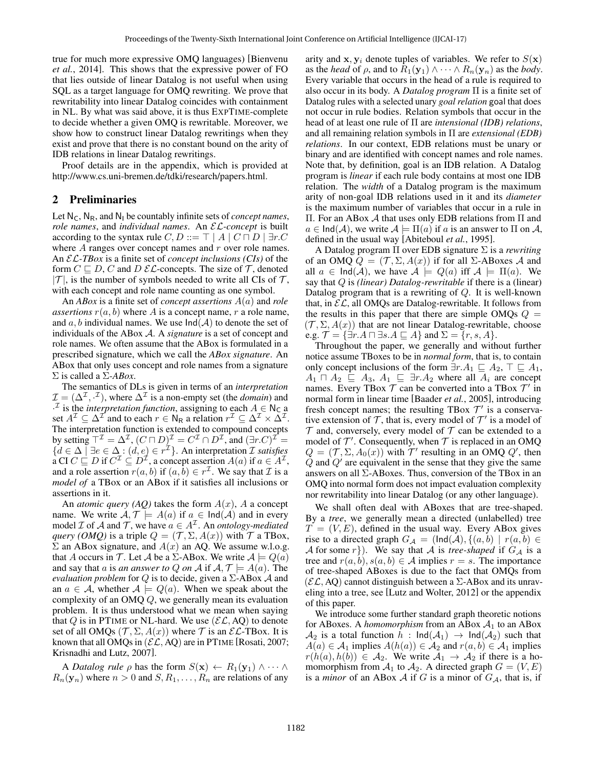true for much more expressive OMQ languages) [Bienvenu *et al.*, 2014]. This shows that the expressive power of FO that lies outside of linear Datalog is not useful when using SQL as a target language for OMQ rewriting. We prove that rewritability into linear Datalog coincides with containment in NL. By what was said above, it is thus EXPTIME-complete to decide whether a given OMQ is rewritable. Moreover, we show how to construct linear Datalog rewritings when they exist and prove that there is no constant bound on the arity of IDB relations in linear Datalog rewritings.

Proof details are in the appendix, which is provided at http://www.cs.uni-bremen.de/tdki/research/papers.html.

## 2 Preliminaries

Let  $N_c$ ,  $N_R$ , and  $N_l$  be countably infinite sets of *concept names*, *role names*, and *individual names*. An EL*-concept* is built according to the syntax rule  $C, D ::= \top | A | C \sqcap D | \exists r.C$ where  $A$  ranges over concept names and  $r$  over role names. An EL*-TBox* is a finite set of *concept inclusions (CIs)* of the form  $C \sqsubseteq D$ , C and D  $\mathcal{EL}$ -concepts. The size of T, denoted  $|\mathcal{T}|$ , is the number of symbols needed to write all CIs of  $\mathcal{T}$ , with each concept and role name counting as one symbol.

An *ABox* is a finite set of *concept assertions* A(a) and *role assertions*  $r(a, b)$  where A is a concept name, r a role name, and a, b individual names. We use  $\text{Ind}(\mathcal{A})$  to denote the set of individuals of the ABox A. A *signature* is a set of concept and role names. We often assume that the ABox is formulated in a prescribed signature, which we call the *ABox signature*. An ABox that only uses concept and role names from a signature Σ is called a Σ*-ABox*.

The semantics of DLs is given in terms of an *interpretation*  $\mathcal{I} = (\Delta^{\mathcal{I}}, \cdot^{\mathcal{I}})$ , where  $\Delta^{\mathcal{I}}$  is a non-empty set (the *domain*) and <sup>*I*</sup> is the *interpretation function*, assigning to each  $A \in N_C$  a set  $A^{\mathcal{I}} \subseteq \Delta^{\mathcal{I}}$  and to each  $r \in \mathsf{N}_{\mathsf{R}}$  a relation  $r^{\mathcal{I}} \subseteq \Delta^{\mathcal{I}} \times \Delta^{\mathcal{I}}$ . The interpretation function is extended to compound concepts by setting  $T^{\mathcal{I}} = \Delta^{\mathcal{I}}$ ,  $(C \sqcap D)^{\mathcal{I}} = C^{\mathcal{I}} \cap D^{\mathcal{I}}$ , and  $(\exists r.C)^{\mathcal{I}} =$ {d ∈ ∆ | ∃e ∈ ∆ : (d, e) ∈ r <sup>I</sup>}. An interpretation I *satisfies* a CI  $C \sqsubseteq D$  if  $C^{\mathcal{I}} \subseteq D^{\mathcal{I}}$ , a concept assertion  $A(a)$  if  $a \in A^{\mathcal{I}}$ , and a role assertion  $r(a, b)$  if  $(a, \overline{b}) \in r^{\mathcal{I}}$ . We say that  $\mathcal I$  is a *model of* a TBox or an ABox if it satisfies all inclusions or assertions in it.

An *atomic query (AQ)* takes the form  $A(x)$ , A a concept name. We write  $A, \mathcal{T} \models A(a)$  if  $a \in \text{Ind}(A)$  and in every model  $\mathcal I$  of  $\mathcal A$  and  $\mathcal T$ , we have  $a \in A^{\mathcal I}$ . An *ontology-mediated query (OMQ)* is a triple  $Q = (\mathcal{T}, \Sigma, A(x))$  with  $\mathcal T$  a TBox,  $\Sigma$  an ABox signature, and  $A(x)$  an AQ. We assume w.l.o.g. that A occurs in T. Let A be a  $\Sigma$ -ABox. We write  $A \models Q(a)$ and say that *a* is *an answer to Q on A* if  $A, \mathcal{T} \models A(a)$ . The *evaluation problem* for  $Q$  is to decide, given a  $\Sigma$ -ABox  $\mathcal A$  and an  $a \in \mathcal{A}$ , whether  $\mathcal{A} \models Q(a)$ . When we speak about the complexity of an OMQ Q, we generally mean its evaluation problem. It is thus understood what we mean when saying that Q is in PTIME or NL-hard. We use  $(\mathcal{EL}, AQ)$  to denote set of all OMQs  $(\mathcal{T}, \Sigma, A(x))$  where  $\mathcal{T}$  is an  $\mathcal{EL}\text{-}\text{TBox}$ . It is known that all OMQs in  $(\mathcal{EL}, AQ)$  are in PTIME [Rosati, 2007; Krisnadhi and Lutz, 2007].

A *Datalog rule*  $\rho$  has the form  $S(\mathbf{x}) \leftarrow R_1(\mathbf{y}_1) \wedge \cdots \wedge R_n$  $R_n(\mathbf{y}_n)$  where  $n > 0$  and  $S, R_1, \ldots, R_n$  are relations of any arity and  $x, y_i$  denote tuples of variables. We refer to  $S(x)$ as the *head* of  $\rho$ , and to  $R_1(\mathbf{y}_1) \wedge \cdots \wedge R_n(\mathbf{y}_n)$  as the *body*. Every variable that occurs in the head of a rule is required to also occur in its body. A *Datalog program* Π is a finite set of Datalog rules with a selected unary *goal relation* goal that does not occur in rule bodies. Relation symbols that occur in the head of at least one rule of Π are *intensional (IDB) relations*, and all remaining relation symbols in Π are *extensional (EDB) relations*. In our context, EDB relations must be unary or binary and are identified with concept names and role names. Note that, by definition, goal is an IDB relation. A Datalog program is *linear* if each rule body contains at most one IDB relation. The *width* of a Datalog program is the maximum arity of non-goal IDB relations used in it and its *diameter* is the maximum number of variables that occur in a rule in Π. For an ABox A that uses only EDB relations from Π and  $a \in \text{Ind}(\mathcal{A})$ , we write  $\mathcal{A} \models \Pi(a)$  if a is an answer to  $\Pi$  on  $\mathcal{A}$ , defined in the usual way [Abiteboul *et al.*, 1995].

A Datalog program Π over EDB signature Σ is a *rewriting* of an OMQ  $Q = (\mathcal{T}, \Sigma, A(x))$  if for all  $\Sigma$ -ABoxes A and all  $a \in \text{Ind}(\mathcal{A})$ , we have  $\mathcal{A} \models Q(a)$  iff  $\mathcal{A} \models \Pi(a)$ . We say that Q is *(linear) Datalog-rewritable* if there is a (linear) Datalog program that is a rewriting of  $Q$ . It is well-known that, in  $\mathcal{EL}$ , all OMQs are Datalog-rewritable. It follows from the results in this paper that there are simple OMQs  $Q =$  $(\mathcal{T}, \Sigma, A(x))$  that are not linear Datalog-rewritable, choose e.g.  $\mathcal{T} = {\exists r.A \sqcap \exists s.A \sqsubseteq A}$  and  $\Sigma = \{r, s, A\}.$ 

Throughout the paper, we generally and without further notice assume TBoxes to be in *normal form*, that is, to contain only concept inclusions of the form  $\exists r.A_1 \sqsubseteq A_2$ ,  $\top \sqsubseteq A_1$ ,  $A_1 \sqcap A_2 \sqsubseteq A_3$ ,  $A_1 \sqsubseteq \exists r.A_2$  where all  $A_i$  are concept names. Every TBox  $T$  can be converted into a TBox  $T'$  in normal form in linear time [Baader *et al.*, 2005], introducing fresh concept names; the resulting TBox  $\mathcal{T}'$  is a conservative extension of  $\mathcal T$ , that is, every model of  $\mathcal T'$  is a model of  $T$  and, conversely, every model of  $T$  can be extended to a model of  $\mathcal{T}'$ . Consequently, when  $\mathcal T$  is replaced in an OMQ  $Q = (\mathcal{T}, \Sigma, A_0(x))$  with  $\mathcal{T}'$  resulting in an OMQ  $Q'$ , then  $Q$  and  $Q'$  are equivalent in the sense that they give the same answers on all  $\Sigma$ -ABoxes. Thus, conversion of the TBox in an OMQ into normal form does not impact evaluation complexity nor rewritability into linear Datalog (or any other language).

We shall often deal with ABoxes that are tree-shaped. By a *tree*, we generally mean a directed (unlabelled) tree  $T = (V, E)$ , defined in the usual way. Every ABox gives rise to a directed graph  $G_A = (\text{Ind}(\mathcal{A}), \{(a, b) \mid r(a, b) \in$ A for some r}). We say that A is *tree-shaped* if  $G_A$  is a tree and  $r(a, b), s(a, b) \in A$  implies  $r = s$ . The importance of tree-shaped ABoxes is due to the fact that OMQs from  $(\mathcal{EL}, AQ)$  cannot distinguish between a  $\Sigma$ -ABox and its unraveling into a tree, see [Lutz and Wolter, 2012] or the appendix of this paper.

We introduce some further standard graph theoretic notions for ABoxes. A *homomorphism* from an ABox  $A_1$  to an ABox  $\mathcal{A}_2$  is a total function  $h$ :  $\text{Ind}(\mathcal{A}_1) \rightarrow \text{Ind}(\mathcal{A}_2)$  such that  $A(a) \in \mathcal{A}_1$  implies  $A(h(a)) \in \mathcal{A}_2$  and  $r(a, b) \in \mathcal{A}_1$  implies  $r(h(a), h(b)) \in \mathcal{A}_2$ . We write  $\mathcal{A}_1 \rightarrow \mathcal{A}_2$  if there is a homomorphism from  $A_1$  to  $A_2$ . A directed graph  $G = (V, E)$ is a *minor* of an ABox A if G is a minor of  $G_A$ , that is, if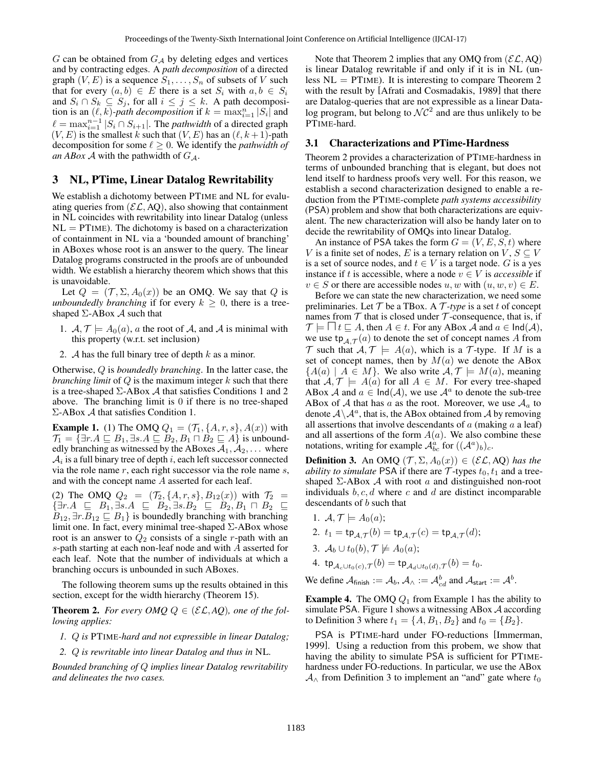$G$  can be obtained from  $G_A$  by deleting edges and vertices and by contracting edges. A *path decomposition* of a directed graph  $(V, E)$  is a sequence  $S_1, \ldots, S_n$  of subsets of V such that for every  $(a, b) \in E$  there is a set  $S_i$  with  $a, b \in S_i$ and  $S_i \cap S_k \subseteq S_j$ , for all  $i \leq j \leq k$ . A path decomposition is an  $(\ell, k)$ -*path decomposition* if  $k = \max_{i=1}^{n} |S_i|$  and  $\ell = \max_{i=1}^{n-1} |S_i \cap S_{i+1}|$ . The *pathwidth* of a directed graph  $(V, E)$  is the smallest k such that  $(V, E)$  has an  $(\ell, k + 1)$ -path decomposition for some  $\ell > 0$ . We identify the *pathwidth of an ABox A* with the pathwidth of  $G_A$ .

## 3 NL, PTime, Linear Datalog Rewritability

We establish a dichotomy between PTIME and NL for evaluating queries from  $(\mathcal{EL}, AQ)$ , also showing that containment in NL coincides with rewritability into linear Datalog (unless  $NL = PTIME$ ). The dichotomy is based on a characterization of containment in NL via a 'bounded amount of branching' in ABoxes whose root is an answer to the query. The linear Datalog programs constructed in the proofs are of unbounded width. We establish a hierarchy theorem which shows that this is unavoidable.

Let  $Q = (\mathcal{T}, \Sigma, A_0(x))$  be an OMQ. We say that Q is *unboundedly branching* if for every  $k \geq 0$ , there is a treeshaped  $\Sigma$ -ABox  $\mathcal A$  such that

- 1.  $A, \mathcal{T} \models A_0(a), a$  the root of A, and A is minimal with this property (w.r.t. set inclusion)
- 2. A has the full binary tree of depth  $k$  as a minor.

Otherwise, Q is *boundedly branching*. In the latter case, the *branching limit* of Q is the maximum integer k such that there is a tree-shaped  $\Sigma$ -ABox A that satisfies Conditions 1 and 2 above. The branching limit is 0 if there is no tree-shaped Σ-ABox A that satisfies Condition 1.

**Example 1.** (1) The OMQ  $Q_1 = (T_1, \{A, r, s\}, A(x))$  with  $\mathcal{T}_1 = \{ \exists r.A \sqsubseteq B_1, \exists s.A \sqsubseteq B_2, B_1 \sqcap B_2 \sqsubseteq A \}$  is unboundedly branching as witnessed by the ABoxes  $A_1, A_2, \ldots$  where  $\mathcal{A}_i$  is a full binary tree of depth  $i,$  each left successor connected via the role name  $r$ , each right successor via the role name  $s$ , and with the concept name A asserted for each leaf.

(2) The OMQ  $Q_2 = (\mathcal{T}_2, \{A, r, s\}, B_{12}(x))$  with  $\mathcal{T}_2 =$  $\{\exists r.A \subseteq B_1, \exists s.A \subseteq B_2, \exists s.B_2 \subseteq B_2, B_1 \sqcap B_2 \subseteq$  $B_{12}$ ,  $\exists r.B_{12} \sqsubseteq B_1$  is boundedly branching with branching limit one. In fact, every minimal tree-shaped Σ-ABox whose root is an answer to  $Q_2$  consists of a single r-path with an s-path starting at each non-leaf node and with A asserted for each leaf. Note that the number of individuals at which a branching occurs is unbounded in such ABoxes.

The following theorem sums up the results obtained in this section, except for the width hierarchy (Theorem 15).

**Theorem 2.** For every OMQ  $Q \in (\mathcal{EL}, AQ)$ , one of the fol*lowing applies:*

*1.* Q *is* PTIME*-hard and not expressible in linear Datalog;*

*2.* Q *is rewritable into linear Datalog and thus in* NL*.*

*Bounded branching of* Q *implies linear Datalog rewritability and delineates the two cases.*

Note that Theorem 2 implies that any OMO from  $(E\mathcal{L}, A\mathcal{O})$ is linear Datalog rewritable if and only if it is in NL (unless  $NL = PTIME$ ). It is interesting to compare Theorem 2 with the result by [Afrati and Cosmadakis, 1989] that there are Datalog-queries that are not expressible as a linear Datalog program, but belong to  $\mathcal{NC}^2$  and are thus unlikely to be PTIME-hard.

#### 3.1 Characterizations and PTime-Hardness

Theorem 2 provides a characterization of PTIME-hardness in terms of unbounded branching that is elegant, but does not lend itself to hardness proofs very well. For this reason, we establish a second characterization designed to enable a reduction from the PTIME-complete *path systems accessibility* (PSA) problem and show that both characterizations are equivalent. The new characterization will also be handy later on to decide the rewritability of OMQs into linear Datalog.

An instance of PSA takes the form  $G = (V, E, S, t)$  where V is a finite set of nodes, E is a ternary relation on V,  $S \subseteq V$ is a set of source nodes, and  $t \in V$  is a target node. G is a yes instance if t is accessible, where a node  $v \in V$  is *accessible* if  $v \in S$  or there are accessible nodes  $u, w$  with  $(u, w, v) \in E$ .

Before we can state the new characterization, we need some preliminaries. Let  $T$  be a TBox. A  $T$ *-type* is a set t of concept names from  $T$  that is closed under  $T$ -consequence, that is, if  $\mathcal{T} \models \Box t \sqsubseteq A$ , then  $A \in t$ . For any ABox  $\mathcal{A}$  and  $a \in \mathsf{Ind}(\mathcal{A})$ , we use  $\text{tp}_{\mathcal{A},\mathcal{T}}(a)$  to denote the set of concept names  $A$  from  $\mathcal T$  such that  $\mathcal A, \mathcal T \models A(a)$ , which is a  $\mathcal T$ -type. If M is a set of concept names, then by  $M(a)$  we denote the ABox  ${A(a) | A \in M}$ . We also write  $A, \mathcal{T} \models M(a)$ , meaning that  $A, \mathcal{T} \models A(a)$  for all  $A \in M$ . For every tree-shaped ABox A and  $a \in \text{Ind}(\mathcal{A})$ , we use  $\mathcal{A}^a$  to denote the sub-tree ABox of A that has a as the root. Moreover, we use  $A_a$  to denote  $A \backslash A^a$ , that is, the ABox obtained from A by removing all assertions that involve descendants of  $\alpha$  (making  $\alpha$  a leaf) and all assertions of the form  $A(a)$ . We also combine these notations, writing for example  $\mathcal{A}_{bc}^{\hat{a}}$  for  $((\mathcal{A}^{a})_{b})_{c}$ .

**Definition 3.** An OMQ  $(\mathcal{T}, \Sigma, A_0(x)) \in (\mathcal{EL}, AQ)$  *has the ability to simulate* PSA if there are  $\mathcal{T}$ -types  $t_0, t_1$  and a treeshaped  $\Sigma$ -ABox  $\mathcal A$  with root a and distinguished non-root individuals  $b, c, d$  where c and d are distinct incomparable descendants of b such that

- 1.  $\mathcal{A}, \mathcal{T} \models A_0(a);$
- 2.  $t_1 = \text{tp}_{\mathcal{A}, \mathcal{T}}(b) = \text{tp}_{\mathcal{A}, \mathcal{T}}(c) = \text{tp}_{\mathcal{A}, \mathcal{T}}(d);$
- 3.  $A_b \cup t_0(b)$ ,  $\mathcal{T} \not\models A_0(a);$
- 4. tp $\begin{array}{c} \n\mathsf{d}_c \cup \nabla c \cup \nabla c(c) , \nabla \nabla \nabla c \end{array} = \mathsf{t}_0 \mathsf{d}_d \cup \nabla c(d) , \nabla \nabla \nabla c \cdot \nabla c \cdot \nabla c \cdot \nabla c \cdot \nabla c \cdot \nabla c \cdot \nabla c \cdot \nabla c \cdot \nabla c \cdot \nabla c \cdot \nabla c \cdot \nabla c \cdot \nabla c \cdot \nabla c \cdot \nabla c \cdot \nabla c \cdot \nabla c \cdot \nabla c \cdot \nabla c$

We define  $A_{\text{finish}} := A_b$ ,  $A_{\wedge} := A_{cd}^b$  and  $A_{\text{start}} := A^b$ .

**Example 4.** The OMQ  $Q_1$  from Example 1 has the ability to simulate PSA. Figure 1 shows a witnessing ABox  $A$  according to Definition 3 where  $t_1 = \{A, B_1, B_2\}$  and  $t_0 = \{B_2\}.$ 

PSA is PTIME-hard under FO-reductions [Immerman, 1999]. Using a reduction from this probem, we show that having the ability to simulate PSA is sufficient for PTIMEhardness under FO-reductions. In particular, we use the ABox  $A_{\wedge}$  from Definition 3 to implement an "and" gate where  $t_0$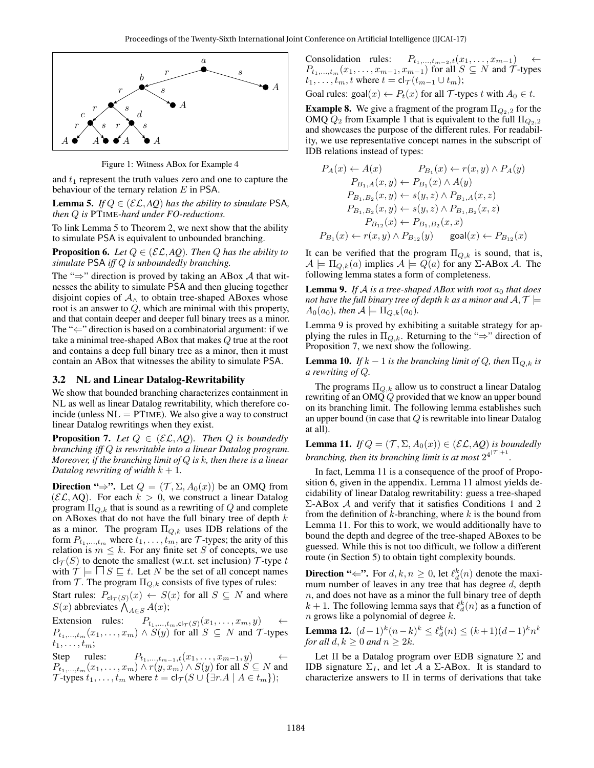

Figure 1: Witness ABox for Example 4

and  $t_1$  represent the truth values zero and one to capture the behaviour of the ternary relation  $E$  in PSA.

**Lemma 5.** *If*  $Q \in (\mathcal{EL}, AQ)$  *has the ability to simulate* PSA, *then* Q *is* PTIME*-hard under FO-reductions.*

To link Lemma 5 to Theorem 2, we next show that the ability to simulate PSA is equivalent to unbounded branching.

**Proposition 6.** *Let*  $Q \in (\mathcal{EL}, AQ)$ *. Then*  $Q$  *has the ability to simulate* PSA *iff* Q *is unboundedly branching.*

The " $\Rightarrow$ " direction is proved by taking an ABox A that witnesses the ability to simulate PSA and then glueing together disjoint copies of  $A_{\wedge}$  to obtain tree-shaped ABoxes whose root is an answer to Q, which are minimal with this property, and that contain deeper and deeper full binary trees as a minor. The " $\Leftarrow$ " direction is based on a combinatorial argument: if we take a minimal tree-shaped ABox that makes Q true at the root and contains a deep full binary tree as a minor, then it must contain an ABox that witnesses the ability to simulate PSA.

#### 3.2 NL and Linear Datalog-Rewritability

We show that bounded branching characterizes containment in NL as well as linear Datalog rewritability, which therefore coincide (unless  $NL = PTIME$ ). We also give a way to construct linear Datalog rewritings when they exist.

**Proposition 7.** Let  $Q \in (\mathcal{EL}, AQ)$ . Then Q is boundedly *branching iff* Q *is rewritable into a linear Datalog program. Moreover, if the branching limit of* Q *is* k*, then there is a linear Datalog rewriting of width*  $k + 1$ *.* 

Direction " $\Rightarrow$ ". Let  $Q = (\mathcal{T}, \Sigma, A_0(x))$  be an OMQ from  $(\mathcal{EL}, AQ)$ . For each  $k > 0$ , we construct a linear Datalog program  $\Pi_{Q,k}$  that is sound as a rewriting of Q and complete on ABoxes that do not have the full binary tree of depth  $k$ as a minor. The program  $\Pi_{Q,k}$  uses IDB relations of the form  $P_{t_1,\dots,t_m}$  where  $t_1,\dots,t_m$ , are  $\mathcal T$ -types; the arity of this relation is  $m \leq k$ . For any finite set S of concepts, we use  $cl_{\mathcal{T}}(S)$  to denote the smallest (w.r.t. set inclusion)  $\mathcal{T}$ -type t with  $\mathcal{T} \models \Box S \sqsubseteq t$ . Let N be the set of all concept names from  $\mathcal T.$  The program  $\Pi_{Q,k}$  consists of five types of rules:

Start rules:  $P_{\text{cl}_{\mathcal{T}}(S)}(x) \leftarrow S(x)$  for all  $S \subseteq N$  and where  $S(x)$  abbreviates  $\bigwedge_{A \in S} A(x)$ ;

Extension rules:  $P_{t_1,\dots,t_m,\text{cl}_{\mathcal{T}}(S)}(x_1,\dots,x_m,y)$  $P_{t_1,\dots,t_m}(x_1,\dots,x_m) \wedge S(y)$  for all  $S \subseteq N$  and  $\mathcal{T}$ -types  $t_1, \ldots, t_m;$ 

Step rules:  $P_{t_1,\ldots,t_{m-1},t}(x_1,\ldots,x_{m-1},y) \leftarrow$  $P_{t_1,...,t_m}(x_1,...,x_m) \wedge r(y,x_m) \wedge S(y)$  for all  $S \subseteq N$  and T-types  $t_1, \ldots, t_m$  where  $t = cl_{\mathcal{T}}(S \cup \{ \exists r.A \mid A \in t_m \})$ ;

Consolidation rules:  $P_{t_1,\dots,t_{m-2},t}(x_1,\dots,x_{m-1})$  $P_{t_1,\dots,t_m}(x_1,\dots,x_{m-1},x_{m-1})$  for all  $S \subseteq N$  and  $\mathcal{T}$ -types  $t_1, \ldots, t_m, t$  where  $t = cl_{\mathcal{T}}(t_{m-1} \cup t_m);$ 

Goal rules: goal $(x) \leftarrow P_t(x)$  for all T-types t with  $A_0 \in t$ .

**Example 8.** We give a fragment of the program  $\Pi_{Q_2,2}$  for the OMQ  $Q_2$  from Example 1 that is equivalent to the full  $\Pi_{Q_2,2}$ and showcases the purpose of the different rules. For readability, we use representative concept names in the subscript of IDB relations instead of types:

$$
P_A(x) \leftarrow A(x) \qquad P_{B_1}(x) \leftarrow r(x, y) \land P_A(y)
$$
  
\n
$$
P_{B_1,A}(x, y) \leftarrow P_{B_1}(x) \land A(y)
$$
  
\n
$$
P_{B_1,B_2}(x, y) \leftarrow s(y, z) \land P_{B_1,A}(x, z)
$$
  
\n
$$
P_{B_1,B_2}(x, y) \leftarrow s(y, z) \land P_{B_1,B_2}(x, z)
$$
  
\n
$$
P_{B_{12}}(x) \leftarrow P_{B_1,B_2}(x, x)
$$
  
\n
$$
P_{B_1}(x) \leftarrow r(x, y) \land P_{B_{12}}(y) \qquad \text{goal}(x) \leftarrow P_{B_{12}}(x)
$$

It can be verified that the program  $\Pi_{Q,k}$  is sound, that is,  $A \models \Pi_{Q,k}(a)$  implies  $A \models Q(a)$  for any  $\Sigma$ -ABox A. The following lemma states a form of completeness.

**Lemma 9.** If A is a tree-shaped ABox with root  $a_0$  that does *not have the full binary tree of depth k as a minor and*  $A, \mathcal{T} \models$  $A_0(a_0)$ *, then*  $\mathcal{A} \models \Pi_{Q,k}(a_0)$ *.* 

Lemma 9 is proved by exhibiting a suitable strategy for applying the rules in  $\Pi_{Q,k}$ . Returning to the "⇒" direction of Proposition 7, we next show the following.

**Lemma 10.** *If*  $k - 1$  *is the branching limit of*  $Q$ *, then*  $\Pi_{Q,k}$  *is a rewriting of* Q*.*

The programs  $\Pi_{Q,k}$  allow us to construct a linear Datalog rewriting of an OMQ Q provided that we know an upper bound on its branching limit. The following lemma establishes such an upper bound (in case that  $Q$  is rewritable into linear Datalog at all).

**Lemma 11.** *If*  $Q = (\mathcal{T}, \Sigma, A_0(x)) \in (\mathcal{EL}, AQ)$  *is boundedly branching, then its branching limit is at most*  $2^{4^{|\mathcal{T}|+1}}$ .

In fact, Lemma 11 is a consequence of the proof of Proposition 6, given in the appendix. Lemma 11 almost yields decidability of linear Datalog rewritability: guess a tree-shaped  $\Sigma$ -ABox A and verify that it satisfies Conditions 1 and 2 from the definition of  $k$ -branching, where  $k$  is the bound from Lemma 11. For this to work, we would additionally have to bound the depth and degree of the tree-shaped ABoxes to be guessed. While this is not too difficult, we follow a different route (in Section 5) to obtain tight complexity bounds.

**Direction "** $\Leftarrow$ ". For  $d, k, n \ge 0$ , let  $\ell_d^k(n)$  denote the maximum number of leaves in any tree that has degree  $d$ , depth  $n$ , and does not have as a minor the full binary tree of depth  $k + 1$ . The following lemma says that  $\ell_d^k(n)$  as a function of  $n$  grows like a polynomial of degree  $k$ .

**Lemma 12.**  $(d-1)^k (n-k)^k \leq \ell_d^k(n) \leq (k+1)(d-1)^k n^k$ *for all*  $d, k \geq 0$  *and*  $n \geq 2k$ *.* 

Let  $\Pi$  be a Datalog program over EDB signature  $\Sigma$  and IDB signature  $\Sigma_I$ , and let A a  $\Sigma$ -ABox. It is standard to characterize answers to  $\Pi$  in terms of derivations that take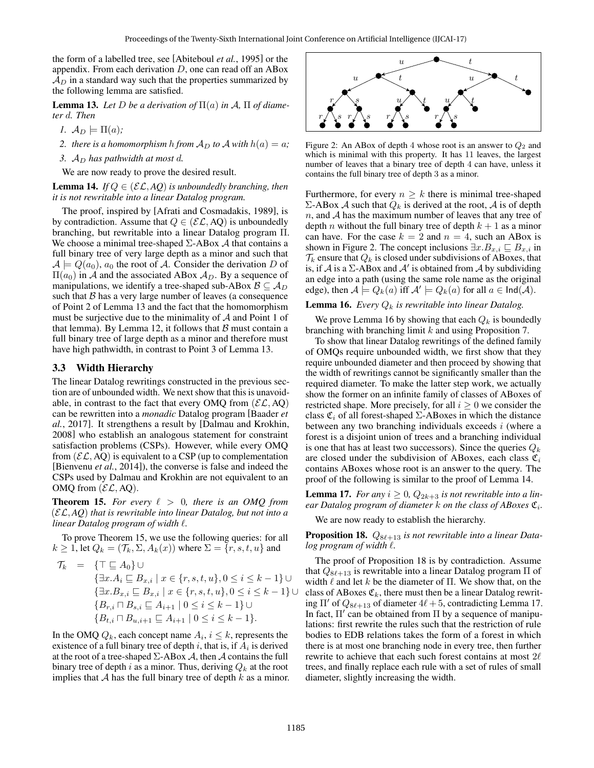the form of a labelled tree, see [Abiteboul *et al.*, 1995] or the appendix. From each derivation  $D$ , one can read off an ABox  $A_D$  in a standard way such that the properties summarized by the following lemma are satisfied.

**Lemma 13.** Let D be a derivation of  $\Pi(a)$  in A,  $\Pi$  of diame*ter* d*. Then*

*1.*  $A_D \models \Pi(a)$ ;

*2. there is a homomorphism h from*  $A_D$  *to*  $A$  *with*  $h(a) = a$ *;* 

*3.*  $A<sub>D</sub>$  has pathwidth at most d.

We are now ready to prove the desired result.

**Lemma 14.** *If*  $Q \in (\mathcal{EL}, AQ)$  *is unboundedly branching, then it is not rewritable into a linear Datalog program.*

The proof, inspired by [Afrati and Cosmadakis, 1989], is by contradiction. Assume that  $Q \in (\mathcal{EL}, AQ)$  is unboundedly branching, but rewritable into a linear Datalog program Π. We choose a minimal tree-shaped  $\Sigma$ -ABox  $\mathcal A$  that contains a full binary tree of very large depth as a minor and such that  $\mathcal{A} \models Q(a_0), a_0$  the root of A. Consider the derivation D of  $\Pi(a_0)$  in A and the associated ABox  $A_D$ . By a sequence of manipulations, we identify a tree-shaped sub-ABox  $\mathcal{B} \subseteq \mathcal{A}_D$ such that  $\beta$  has a very large number of leaves (a consequence of Point 2 of Lemma 13 and the fact that the homomorphism must be surjective due to the minimality of  $A$  and Point 1 of that lemma). By Lemma 12, it follows that  $\beta$  must contain a full binary tree of large depth as a minor and therefore must have high pathwidth, in contrast to Point 3 of Lemma 13.

#### 3.3 Width Hierarchy

The linear Datalog rewritings constructed in the previous section are of unbounded width. We next show that this is unavoidable, in contrast to the fact that every OMQ from  $(\mathcal{EL}, AQ)$ can be rewritten into a *monadic* Datalog program [Baader *et al.*, 2017]. It strengthens a result by [Dalmau and Krokhin, 2008] who establish an analogous statement for constraint satisfaction problems (CSPs). However, while every OMQ from  $(\mathcal{EL}, AQ)$  is equivalent to a CSP (up to complementation [Bienvenu *et al.*, 2014]), the converse is false and indeed the CSPs used by Dalmau and Krokhin are not equivalent to an OMQ from  $(\mathcal{EL}, AQ)$ .

**Theorem 15.** For every  $\ell > 0$ , there is an OMQ from (EL, *AQ*) *that is rewritable into linear Datalog, but not into a linear Datalog program of width* `*.*

To prove Theorem 15, we use the following queries: for all  $k \ge 1$ , let  $Q_k = (\mathcal{T}_k, \Sigma, A_k(x))$  where  $\Sigma = \{r, s, t, u\}$  and

$$
\mathcal{T}_k = \{ \top \sqsubseteq A_0 \} \cup
$$
\n
$$
\{ \exists x. A_i \sqsubseteq B_{x,i} \mid x \in \{r, s, t, u\}, 0 \le i \le k - 1 \} \cup
$$
\n
$$
\{ \exists x. B_{x,i} \sqsubseteq B_{x,i} \mid x \in \{r, s, t, u\}, 0 \le i \le k - 1 \} \cup
$$
\n
$$
\{ B_{r,i} \sqcap B_{s,i} \sqsubseteq A_{i+1} \mid 0 \le i \le k - 1 \} \cup
$$
\n
$$
\{ B_{t,i} \sqcap B_{u,i+1} \sqsubseteq A_{i+1} \mid 0 \le i \le k - 1 \}.
$$

In the OMQ  $Q_k$ , each concept name  $A_i, i \leq k$ , represents the existence of a full binary tree of depth  $i$ , that is, if  $A_i$  is derived at the root of a tree-shaped  $\Sigma$ -ABox  $\mathcal A$ , then  $\mathcal A$  contains the full binary tree of depth i as a minor. Thus, deriving  $Q_k$  at the root implies that  $A$  has the full binary tree of depth  $k$  as a minor.



Figure 2: An ABox of depth 4 whose root is an answer to  $Q_2$  and which is minimal with this property. It has 11 leaves, the largest number of leaves that a binary tree of depth 4 can have, unless it contains the full binary tree of depth 3 as a minor.

Furthermore, for every  $n \geq k$  there is minimal tree-shaped Σ-ABox *A* such that  $Q_k$  is derived at the root, *A* is of depth  $n$ , and  $A$  has the maximum number of leaves that any tree of depth *n* without the full binary tree of depth  $k + 1$  as a minor can have. For the case  $k = 2$  and  $n = 4$ , such an ABox is shown in Figure 2. The concept inclusions  $\exists x . B_{x,i} \sqsubseteq B_{x,i}$  in  $\mathcal{T}_k$  ensure that  $Q_k$  is closed under subdivisions of ABoxes, that is, if A is a  $\Sigma$ -ABox and A' is obtained from A by subdividing an edge into a path (using the same role name as the original edge), then  $\mathcal{A} \models Q_k(a)$  iff  $\mathcal{A}' \models Q_k(a)$  for all  $a \in \mathsf{Ind}(\mathcal{A})$ .

#### **Lemma 16.** *Every*  $Q_k$  *is rewritable into linear Datalog.*

We prove Lemma 16 by showing that each  $Q_k$  is boundedly branching with branching limit k and using Proposition 7.

To show that linear Datalog rewritings of the defined family of OMQs require unbounded width, we first show that they require unbounded diameter and then proceed by showing that the width of rewritings cannot be significantly smaller than the required diameter. To make the latter step work, we actually show the former on an infinite family of classes of ABoxes of restricted shape. More precisely, for all  $i \geq 0$  we consider the class  $\mathfrak{C}_i$  of all forest-shaped  $\Sigma$ -ABoxes in which the distance between any two branching individuals exceeds  $i$  (where a forest is a disjoint union of trees and a branching individual is one that has at least two successors). Since the queries  $Q_k$ are closed under the subdivision of ABoxes, each class  $\mathfrak{C}_i$ contains ABoxes whose root is an answer to the query. The proof of the following is similar to the proof of Lemma 14.

**Lemma 17.** *For any*  $i \geq 0$ ,  $Q_{2k+3}$  *is not rewritable into a lin*ear Datalog program of diameter  $k$  on the class of ABoxes  $\mathfrak{C}_i$ .

We are now ready to establish the hierarchy.

**Proposition 18.**  $Q_{8\ell+13}$  *is not rewritable into a linear Datalog program of width*  $\ell$ *.* 

The proof of Proposition 18 is by contradiction. Assume that  $Q_{8\ell+13}$  is rewritable into a linear Datalog program  $\Pi$  of width  $\ell$  and let k be the diameter of  $\Pi$ . We show that, on the class of ABoxes  $\mathfrak{C}_k$ , there must then be a linear Datalog rewriting  $\Pi'$  of  $Q_{8\ell+13}$  of diameter  $4\ell + 5$ , contradicting Lemma 17. In fact,  $\Pi'$  can be obtained from  $\Pi$  by a sequence of manipulations: first rewrite the rules such that the restriction of rule bodies to EDB relations takes the form of a forest in which there is at most one branching node in every tree, then further rewrite to achieve that each such forest contains at most  $2\ell$ trees, and finally replace each rule with a set of rules of small diameter, slightly increasing the width.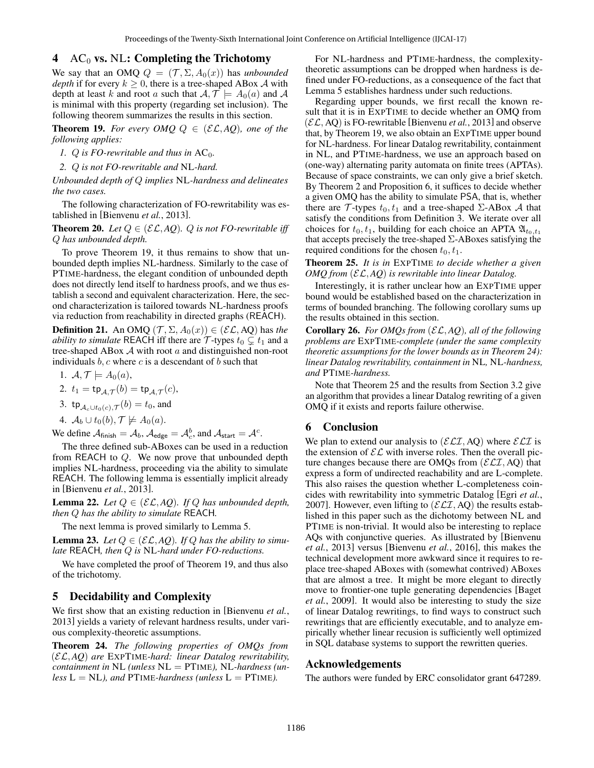### 4  $\wedge$  AC<sub>0</sub> vs. NL: Completing the Trichotomy

We say that an OMQ  $Q = (\mathcal{T}, \Sigma, A_0(x))$  has *unbounded depth* if for every  $k \geq 0$ , there is a tree-shaped ABox A with depth at least k and root a such that  $A, \mathcal{T} \models A_0(a)$  and A is minimal with this property (regarding set inclusion). The following theorem summarizes the results in this section.

**Theorem 19.** For every OMQ  $Q \in (\mathcal{EL}, AQ)$ , one of the *following applies:*

- *1. Q is FO-rewritable and thus in*  $AC_0$ *.*
- *2.* Q *is not FO-rewritable and* NL*-hard.*

*Unbounded depth of* Q *implies* NL*-hardness and delineates the two cases.*

The following characterization of FO-rewritability was established in [Bienvenu *et al.*, 2013].

**Theorem 20.** *Let*  $Q \in (\mathcal{EL}, AQ)$ *. Q is not FO-rewritable iff* Q *has unbounded depth.*

To prove Theorem 19, it thus remains to show that unbounded depth implies NL-hardness. Similarly to the case of PTIME-hardness, the elegant condition of unbounded depth does not directly lend itself to hardness proofs, and we thus establish a second and equivalent characterization. Here, the second characterization is tailored towards NL-hardness proofs via reduction from reachability in directed graphs (REACH).

**Definition 21.** An OMQ  $(\mathcal{T}, \Sigma, A_0(x)) \in (\mathcal{EL}, AQ)$  has *the ability to simulate* REACH iff there are  $\mathcal{T}$ -types  $t_0 \subsetneq t_1$  and a tree-shaped ABox  $A$  with root  $a$  and distinguished non-root individuals  $b, c$  where  $c$  is a descendant of  $b$  such that

1. 
$$
\mathcal{A}, \mathcal{T} \models A_0(a),
$$

$$
2. t_1 = \text{tp}_{\mathcal{A}, \mathcal{T}}(b) = \text{tp}_{\mathcal{A}, \mathcal{T}}(c),
$$

3. tp<sub> $\mathcal{A}_c \cup t_0(c), \mathcal{T}(b) = t_0$ , and</sub>

4. 
$$
\mathcal{A}_b \cup t_0(b), \mathcal{T} \not\models A_0(a)
$$
.

We define  $A_{\text{finish}} = A_b$ ,  $A_{\text{edge}} = A_c^b$ , and  $A_{\text{start}} = A_c^c$ .

The three defined sub-ABoxes can be used in a reduction from REACH to Q. We now prove that unbounded depth implies NL-hardness, proceeding via the ability to simulate REACH. The following lemma is essentially implicit already in [Bienvenu *et al.*, 2013].

**Lemma 22.** *Let*  $Q \in (\mathcal{EL}, AQ)$ *. If*  $Q$  *has unbounded depth, then* Q *has the ability to simulate* REACH*.*

The next lemma is proved similarly to Lemma 5.

**Lemma 23.** Let  $Q \in (\mathcal{EL}, AQ)$ . If Q has the ability to simu*late* REACH*, then* Q *is* NL*-hard under FO-reductions.*

We have completed the proof of Theorem 19, and thus also of the trichotomy.

#### 5 Decidability and Complexity

We first show that an existing reduction in [Bienvenu *et al.*, 2013] yields a variety of relevant hardness results, under various complexity-theoretic assumptions.

Theorem 24. *The following properties of OMQs from* (EL, *AQ*) *are* EXPTIME*-hard: linear Datalog rewritability, containment in* NL *(unless* NL = PTIME*),* NL*-hardness (un* $less L = NL$ *), and* PTIME-hardness (unless  $L = PTIME$ ).

For NL-hardness and PTIME-hardness, the complexitytheoretic assumptions can be dropped when hardness is defined under FO-reductions, as a consequence of the fact that Lemma 5 establishes hardness under such reductions.

Regarding upper bounds, we first recall the known result that it is in EXPTIME to decide whether an OMQ from  $(\mathcal{EL}, AQ)$  is FO-rewritable [Bienvenu *et al.*, 2013] and observe that, by Theorem 19, we also obtain an EXPTIME upper bound for NL-hardness. For linear Datalog rewritability, containment in NL, and PTIME-hardness, we use an approach based on (one-way) alternating parity automata on finite trees (APTAs). Because of space constraints, we can only give a brief sketch. By Theorem 2 and Proposition 6, it suffices to decide whether a given OMQ has the ability to simulate PSA, that is, whether there are  $\mathcal T$ -types  $t_0, t_1$  and a tree-shaped  $\Sigma$ -ABox  $\mathcal A$  that satisfy the conditions from Definition 3. We iterate over all choices for  $t_0, t_1$ , building for each choice an APTA  $\mathfrak{A}_{t_0,t_1}$ that accepts precisely the tree-shaped  $\Sigma$ -ABoxes satisfying the required conditions for the chosen  $t_0, t_1$ .

Theorem 25. *It is in* EXPTIME *to decide whether a given OMQ from* (EL, *AQ*) *is rewritable into linear Datalog.*

Interestingly, it is rather unclear how an EXPTIME upper bound would be established based on the characterization in terms of bounded branching. The following corollary sums up the results obtained in this section.

Corollary 26. *For OMQs from* (EL, *AQ*)*, all of the following problems are* EXPTIME*-complete (under the same complexity theoretic assumptions for the lower bounds as in Theorem 24): linear Datalog rewritability, containment in* NL*,* NL*-hardness, and* PTIME*-hardness.*

Note that Theorem 25 and the results from Section 3.2 give an algorithm that provides a linear Datalog rewriting of a given OMQ if it exists and reports failure otherwise.

#### 6 Conclusion

We plan to extend our analysis to  $(\mathcal{ELI}, AQ)$  where  $\mathcal{ELI}$  is the extension of  $\mathcal{EL}$  with inverse roles. Then the overall picture changes because there are OMQs from  $(\mathcal{ELI}, AQ)$  that express a form of undirected reachability and are L-complete. This also raises the question whether L-completeness coincides with rewritability into symmetric Datalog [Egri *et al.*, 2007]. However, even lifting to  $(\mathcal{ELI}, AQ)$  the results established in this paper such as the dichotomy between NL and PTIME is non-trivial. It would also be interesting to replace AQs with conjunctive queries. As illustrated by [Bienvenu *et al.*, 2013] versus [Bienvenu *et al.*, 2016], this makes the technical development more awkward since it requires to replace tree-shaped ABoxes with (somewhat contrived) ABoxes that are almost a tree. It might be more elegant to directly move to frontier-one tuple generating dependencies [Baget *et al.*, 2009]. It would also be interesting to study the size of linear Datalog rewritings, to find ways to construct such rewritings that are efficiently executable, and to analyze empirically whether linear recusion is sufficiently well optimized in SQL database systems to support the rewritten queries.

### Acknowledgements

The authors were funded by ERC consolidator grant 647289.